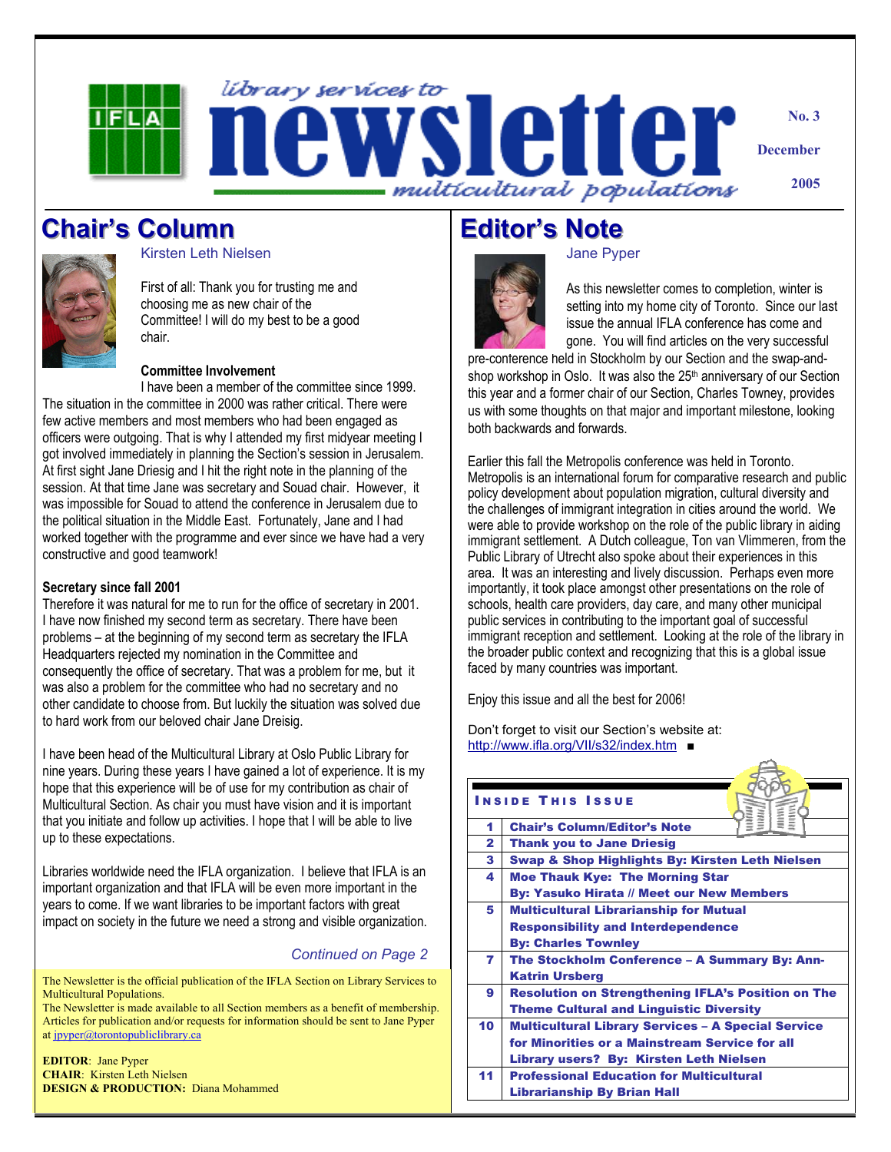

**Chair's Column** 



Kirsten Leth Nielsen

First of all: Thank you for trusting me and choosing me as new chair of the Committee! I will do my best to be a good chair.

### **Committee Involvement**

I have been a member of the committee since 1999. The situation in the committee in 2000 was rather critical. There were few active members and most members who had been engaged as officers were outgoing. That is why I attended my first midyear meeting I got involved immediately in planning the Section's session in Jerusalem. At first sight Jane Driesig and I hit the right note in the planning of the session. At that time Jane was secretary and Souad chair. However, it was impossible for Souad to attend the conference in Jerusalem due to the political situation in the Middle East. Fortunately, Jane and I had worked together with the programme and ever since we have had a very constructive and good teamwork!

#### **Secretary since fall 2001**

Therefore it was natural for me to run for the office of secretary in 2001. I have now finished my second term as secretary. There have been problems – at the beginning of my second term as secretary the IFLA Headquarters rejected my nomination in the Committee and consequently the office of secretary. That was a problem for me, but it was also a problem for the committee who had no secretary and no other candidate to choose from. But luckily the situation was solved due to hard work from our beloved chair Jane Dreisig.

I have been head of the Multicultural Library at Oslo Public Library for nine years. During these years I have gained a lot of experience. It is my hope that this experience will be of use for my contribution as chair of Multicultural Section. As chair you must have vision and it is important that you initiate and follow up activities. I hope that I will be able to live up to these expectations.

Libraries worldwide need the IFLA organization. I believe that IFLA is an important organization and that IFLA will be even more important in the years to come. If we want libraries to be important factors with great impact on society in the future we need a strong and visible organization.

### *Continued on Page 2*

The Newsletter is the official publication of the IFLA Section on Library Services to Multicultural Populations.

The Newsletter is made available to all Section members as a benefit of membership. Articles for publication and/or requests for information should be sent to Jane Pyper at jpyper@torontopubliclibrary.ca

**EDITOR**: Jane Pyper **CHAIR**: Kirsten Leth Nielsen **DESIGN & PRODUCTION:** Diana Mohammed

# **Editor's Note**

#### Jane Pyper



As this newsletter comes to completion, winter is setting into my home city of Toronto. Since our last issue the annual IFLA conference has come and gone. You will find articles on the very successful

pre-conference held in Stockholm by our Section and the swap-andshop workshop in Oslo. It was also the 25<sup>th</sup> anniversary of our Section this year and a former chair of our Section, Charles Towney, provides us with some thoughts on that major and important milestone, looking both backwards and forwards.

Earlier this fall the Metropolis conference was held in Toronto. Metropolis is an international forum for comparative research and public policy development about population migration, cultural diversity and the challenges of immigrant integration in cities around the world. We were able to provide workshop on the role of the public library in aiding immigrant settlement. A Dutch colleague, Ton van Vlimmeren, from the Public Library of Utrecht also spoke about their experiences in this area. It was an interesting and lively discussion. Perhaps even more importantly, it took place amongst other presentations on the role of schools, health care providers, day care, and many other municipal public services in contributing to the important goal of successful immigrant reception and settlement. Looking at the role of the library in the broader public context and recognizing that this is a global issue faced by many countries was important.

Enjoy this issue and all the best for 2006!

Don't forget to visit our Section's website at: http://www.ifla.org/VII/s32/index.htm ■

| <b>INSIDE THIS ISSUE</b> |                                                           |
|--------------------------|-----------------------------------------------------------|
| 1                        | <b>Chair's Column/Editor's Note</b>                       |
| $\mathbf{z}$             | <b>Thank you to Jane Driesig</b>                          |
| 3                        | Swap & Shop Highlights By: Kirsten Leth Nielsen           |
| 4                        | <b>Moe Thauk Kye: The Morning Star</b>                    |
|                          | <b>By: Yasuko Hirata // Meet our New Members</b>          |
| 5                        | <b>Multicultural Librarianship for Mutual</b>             |
|                          | <b>Responsibility and Interdependence</b>                 |
|                          | <b>By: Charles Townley</b>                                |
| 7                        | The Stockholm Conference - A Summary By: Ann-             |
|                          | <b>Katrin Ursberg</b>                                     |
| 9                        | <b>Resolution on Strengthening IFLA's Position on The</b> |
|                          | <b>Theme Cultural and Linguistic Diversity</b>            |
| 10                       | <b>Multicultural Library Services - A Special Service</b> |
|                          | for Minorities or a Mainstream Service for all            |
|                          | Library users? By: Kirsten Leth Nielsen                   |
| 11                       | <b>Professional Education for Multicultural</b>           |
|                          | <b>Librarianship By Brian Hall</b>                        |
|                          |                                                           |

 $\triangle$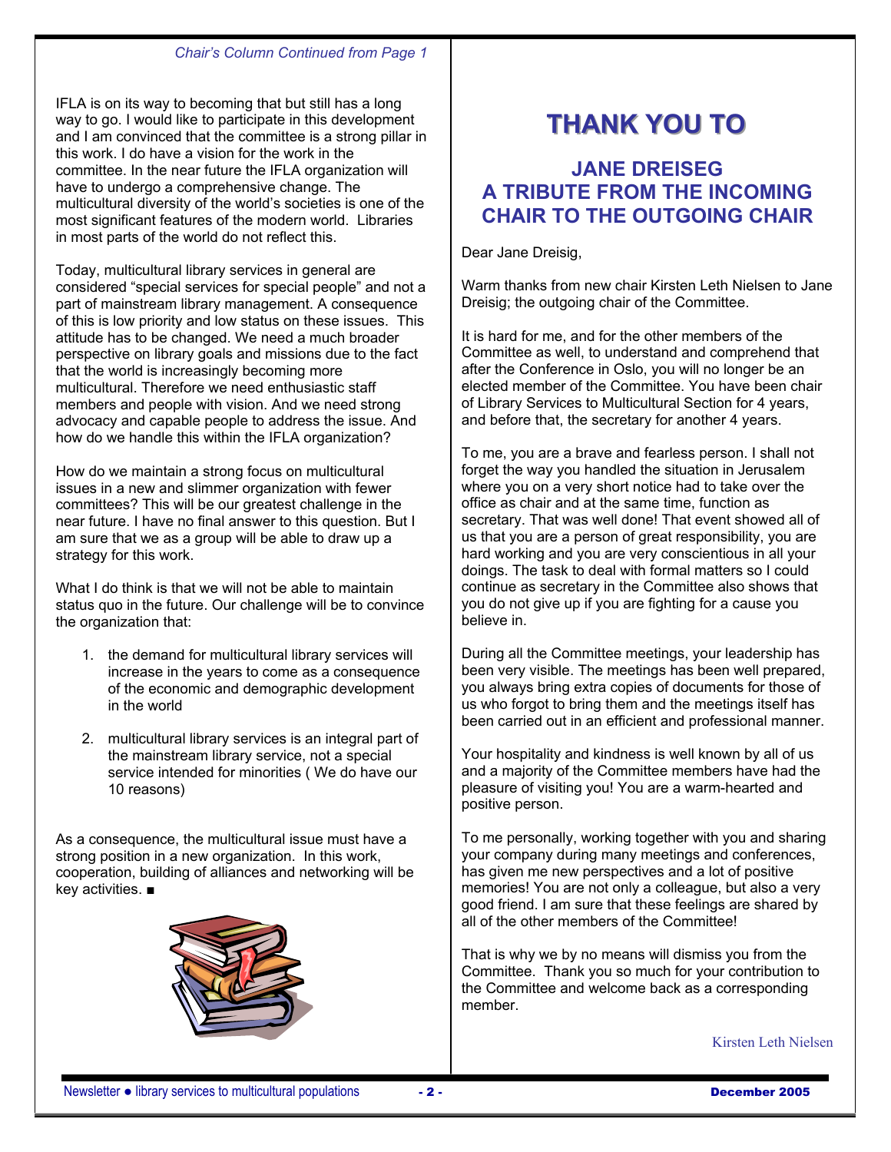### *Chair's Column Continued from Page 1*

IFLA is on its way to becoming that but still has a long way to go. I would like to participate in this development and I am convinced that the committee is a strong pillar in this work. I do have a vision for the work in the committee. In the near future the IFLA organization will have to undergo a comprehensive change. The multicultural diversity of the world's societies is one of the most significant features of the modern world. Libraries in most parts of the world do not reflect this.

Today, multicultural library services in general are considered "special services for special people" and not a part of mainstream library management. A consequence of this is low priority and low status on these issues. This attitude has to be changed. We need a much broader perspective on library goals and missions due to the fact that the world is increasingly becoming more multicultural. Therefore we need enthusiastic staff members and people with vision. And we need strong advocacy and capable people to address the issue. And how do we handle this within the IFLA organization?

How do we maintain a strong focus on multicultural issues in a new and slimmer organization with fewer committees? This will be our greatest challenge in the near future. I have no final answer to this question. But I am sure that we as a group will be able to draw up a strategy for this work.

What I do think is that we will not be able to maintain status quo in the future. Our challenge will be to convince the organization that:

- 1. the demand for multicultural library services will increase in the years to come as a consequence of the economic and demographic development in the world
- 2. multicultural library services is an integral part of the mainstream library service, not a special service intended for minorities ( We do have our 10 reasons)

As a consequence, the multicultural issue must have a strong position in a new organization. In this work, cooperation, building of alliances and networking will be key activities. ■



# **THANK YOU TO**

# **JANE DREISEG A TRIBUTE FROM THE INCOMING CHAIR TO THE OUTGOING CHAIR**

Dear Jane Dreisig,

Warm thanks from new chair Kirsten Leth Nielsen to Jane Dreisig; the outgoing chair of the Committee.

It is hard for me, and for the other members of the Committee as well, to understand and comprehend that after the Conference in Oslo, you will no longer be an elected member of the Committee. You have been chair of Library Services to Multicultural Section for 4 years, and before that, the secretary for another 4 years.

To me, you are a brave and fearless person. I shall not forget the way you handled the situation in Jerusalem where you on a very short notice had to take over the office as chair and at the same time, function as secretary. That was well done! That event showed all of us that you are a person of great responsibility, you are hard working and you are very conscientious in all your doings. The task to deal with formal matters so I could continue as secretary in the Committee also shows that you do not give up if you are fighting for a cause you believe in.

During all the Committee meetings, your leadership has been very visible. The meetings has been well prepared, you always bring extra copies of documents for those of us who forgot to bring them and the meetings itself has been carried out in an efficient and professional manner.

Your hospitality and kindness is well known by all of us and a majority of the Committee members have had the pleasure of visiting you! You are a warm-hearted and positive person.

To me personally, working together with you and sharing your company during many meetings and conferences, has given me new perspectives and a lot of positive memories! You are not only a colleague, but also a very good friend. I am sure that these feelings are shared by all of the other members of the Committee!

That is why we by no means will dismiss you from the Committee. Thank you so much for your contribution to the Committee and welcome back as a corresponding member.

Kirsten Leth Nielsen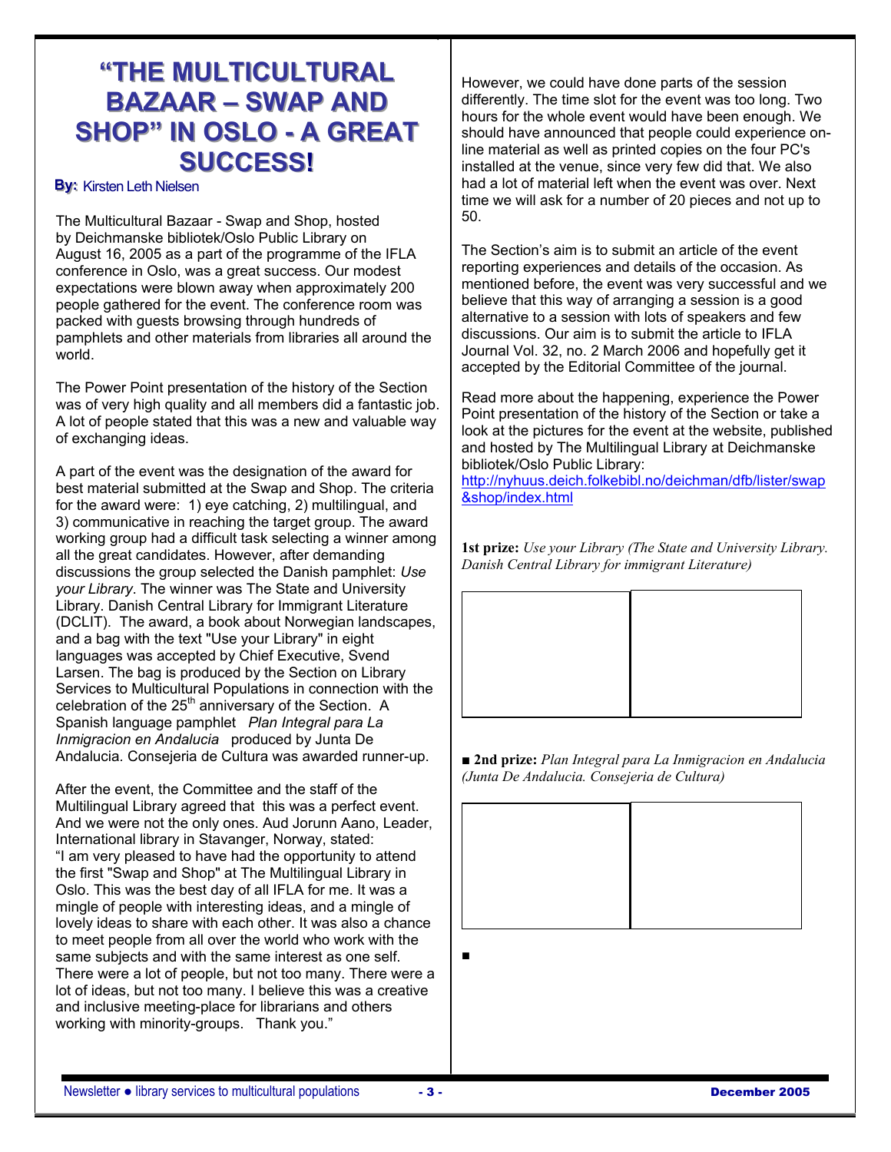# **"THE MULTICULTURAL BAZAAR – SWAP AND**  $SHOP" IN OSLO - A GREAT$ **SUCCESS!**

## **By: Kirsten Leth Nielsen**

The Multicultural Bazaar - Swap and Shop, hosted by Deichmanske bibliotek/Oslo Public Library on August 16, 2005 as a part of the programme of the IFLA conference in Oslo, was a great success. Our modest expectations were blown away when approximately 200 people gathered for the event. The conference room was packed with guests browsing through hundreds of pamphlets and other materials from libraries all around the world.

The Power Point presentation of the history of the Section was of very high quality and all members did a fantastic job. A lot of people stated that this was a new and valuable way of exchanging ideas.

A part of the event was the designation of the award for best material submitted at the Swap and Shop. The criteria for the award were: 1) eye catching, 2) multilingual, and 3) communicative in reaching the target group. The award working group had a difficult task selecting a winner among all the great candidates. However, after demanding discussions the group selected the Danish pamphlet: *Use your Library*. The winner was The State and University Library. Danish Central Library for Immigrant Literature (DCLIT). The award, a book about Norwegian landscapes, and a bag with the text "Use your Library" in eight languages was accepted by Chief Executive, Svend Larsen. The bag is produced by the Section on Library Services to Multicultural Populations in connection with the celebration of the  $25<sup>th</sup>$  anniversary of the Section. A Spanish language pamphlet *Plan Integral para La Inmigracion en Andalucia* produced by Junta De Andalucia*.* Consejeria de Cultura was awarded runner-up.

After the event, the Committee and the staff of the Multilingual Library agreed that this was a perfect event. And we were not the only ones. Aud Jorunn Aano, Leader, International library in Stavanger, Norway, stated: "I am very pleased to have had the opportunity to attend the first "Swap and Shop" at The Multilingual Library in Oslo. This was the best day of all IFLA for me. It was a mingle of people with interesting ideas, and a mingle of lovely ideas to share with each other. It was also a chance to meet people from all over the world who work with the same subjects and with the same interest as one self. There were a lot of people, but not too many. There were a lot of ideas, but not too many. I believe this was a creative and inclusive meeting-place for librarians and others working with minority-groups. Thank you."

However, we could have done parts of the session differently. The time slot for the event was too long. Two hours for the whole event would have been enough. We should have announced that people could experience online material as well as printed copies on the four PC's installed at the venue, since very few did that. We also had a lot of material left when the event was over. Next time we will ask for a number of 20 pieces and not up to 50.

The Section's aim is to submit an article of the event reporting experiences and details of the occasion. As mentioned before, the event was very successful and we believe that this way of arranging a session is a good alternative to a session with lots of speakers and few discussions. Our aim is to submit the article to IFLA Journal Vol. 32, no. 2 March 2006 and hopefully get it accepted by the Editorial Committee of the journal.

Read more about the happening, experience the Power Point presentation of the history of the Section or take a look at the pictures for the event at the website, published and hosted by The Multilingual Library at Deichmanske bibliotek/Oslo Public Library:

http://nyhuus.deich.folkebibl.no/deichman/dfb/lister/swap &shop/index.html

**1st prize:** *Use your Library (The State and University Library. Danish Central Library for immigrant Literature)* 



■ 2nd prize: Plan Integral para La Inmigracion en Andalucia *(Junta De Andalucia. Consejeria de Cultura)* 



■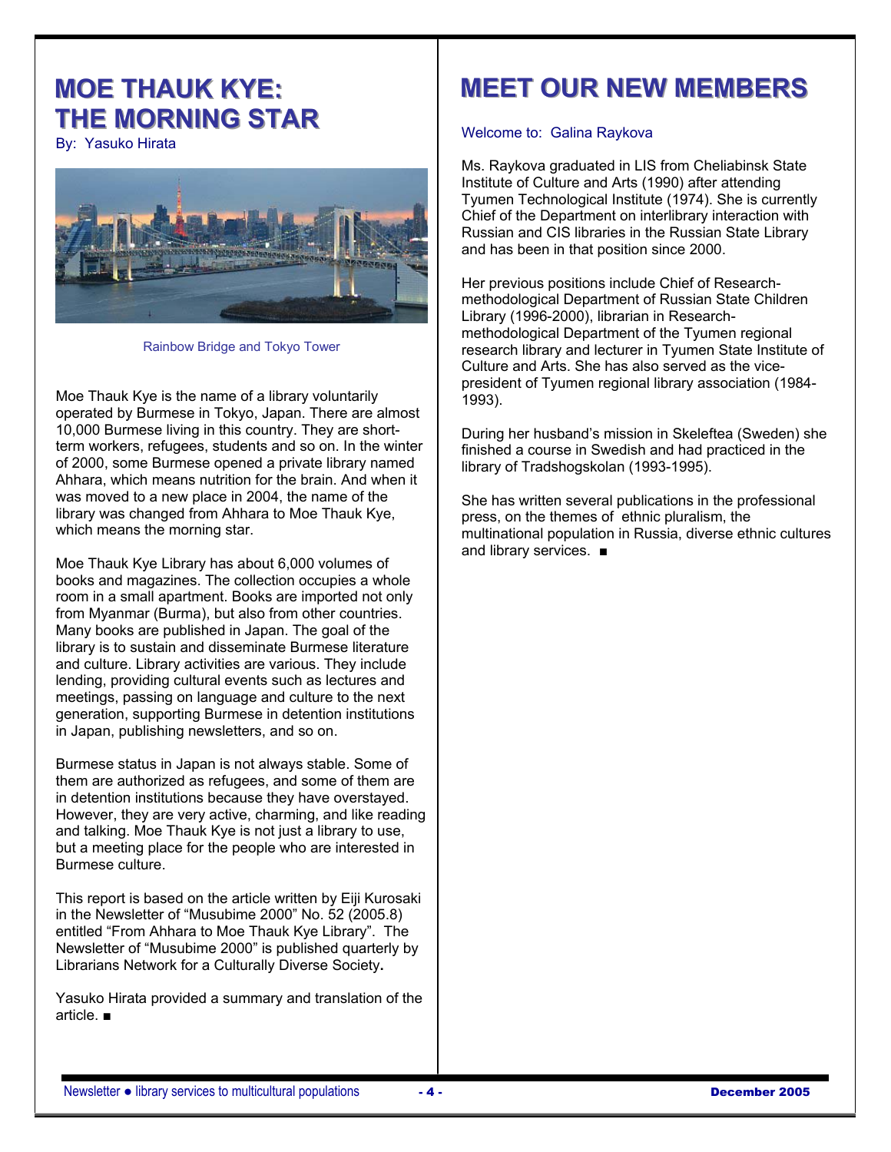# **MOE THAUK KYE: THE MORNING STAR**

By: Yasuko Hirata



Rainbow Bridge and Tokyo Tower

Moe Thauk Kye is the name of a library voluntarily operated by Burmese in Tokyo, Japan. There are almost 10,000 Burmese living in this country. They are shortterm workers, refugees, students and so on. In the winter of 2000, some Burmese opened a private library named Ahhara, which means nutrition for the brain. And when it was moved to a new place in 2004, the name of the library was changed from Ahhara to Moe Thauk Kye, which means the morning star.

Moe Thauk Kye Library has about 6,000 volumes of books and magazines. The collection occupies a whole room in a small apartment. Books are imported not only from Myanmar (Burma), but also from other countries. Many books are published in Japan. The goal of the library is to sustain and disseminate Burmese literature and culture. Library activities are various. They include lending, providing cultural events such as lectures and meetings, passing on language and culture to the next generation, supporting Burmese in detention institutions in Japan, publishing newsletters, and so on.

Burmese status in Japan is not always stable. Some of them are authorized as refugees, and some of them are in detention institutions because they have overstayed. However, they are very active, charming, and like reading and talking. Moe Thauk Kye is not just a library to use, but a meeting place for the people who are interested in Burmese culture.

This report is based on the article written by Eiji Kurosaki in the Newsletter of "Musubime 2000" No. 52 (2005.8) entitled "From Ahhara to Moe Thauk Kye Library". The Newsletter of "Musubime 2000" is published quarterly by Librarians Network for a Culturally Diverse Society**.** 

Yasuko Hirata provided a summary and translation of the article. ■

# **MEET OUR NEW MEMBERS**

# Welcome to: Galina Raykova

Ms. Raykova graduated in LIS from Cheliabinsk State Institute of Culture and Arts (1990) after attending Tyumen Technological Institute (1974). She is currently Chief of the Department on interlibrary interaction with Russian and CIS libraries in the Russian State Library and has been in that position since 2000.

Her previous positions include Chief of Researchmethodological Department of Russian State Children Library (1996-2000), librarian in Researchmethodological Department of the Tyumen regional research library and lecturer in Tyumen State Institute of Culture and Arts. She has also served as the vicepresident of Tyumen regional library association (1984- 1993).

During her husband's mission in Skeleftea (Sweden) she finished a course in Swedish and had practiced in the library of Tradshogskolan (1993-1995).

She has written several publications in the professional press, on the themes of ethnic pluralism, the multinational population in Russia, diverse ethnic cultures and library services. ■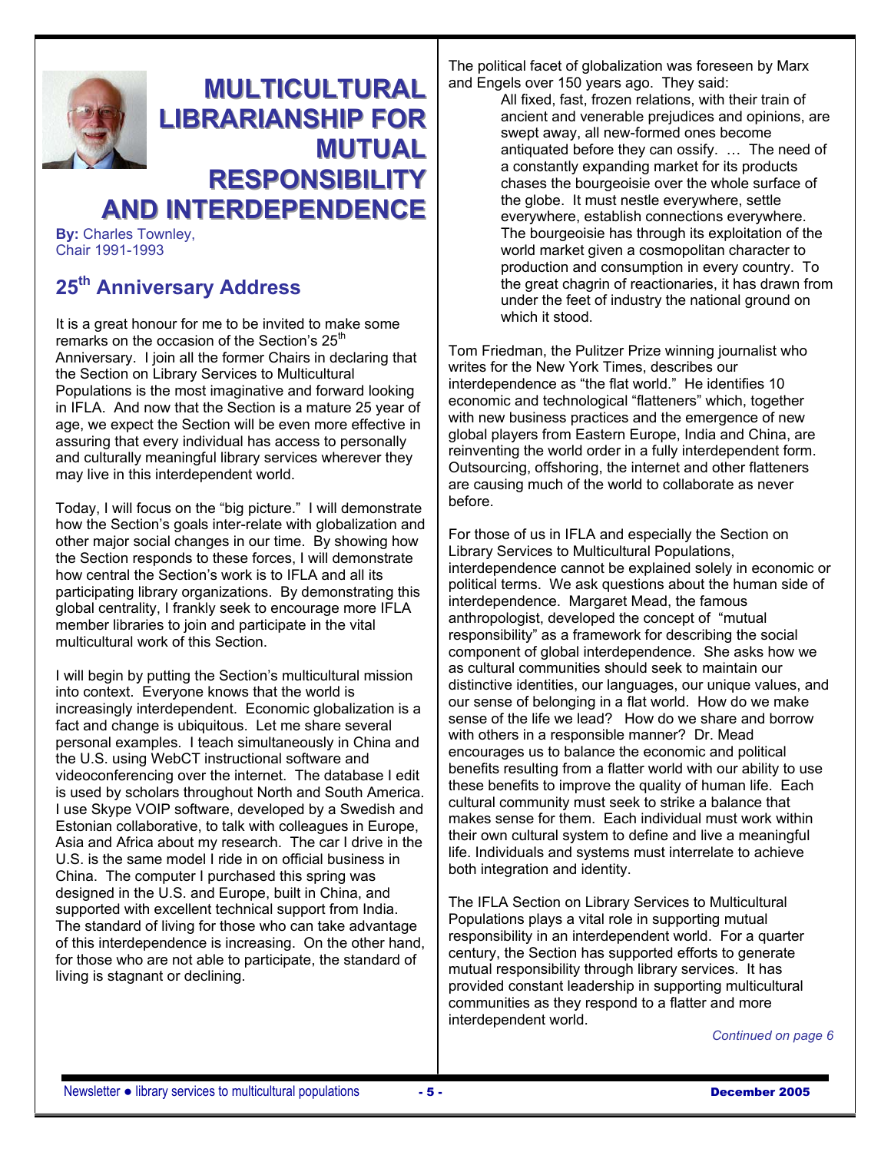

# **MULTICULTURAL LIBRARIANSHIP FOR MUTUAL RESPONSIBILITY AND INTERDEPENDENCE**

**By:** Charles Townley, Chair 1991-1993

# **25th Anniversary Address**

It is a great honour for me to be invited to make some remarks on the occasion of the Section's 25<sup>th</sup> Anniversary. I join all the former Chairs in declaring that the Section on Library Services to Multicultural Populations is the most imaginative and forward looking in IFLA. And now that the Section is a mature 25 year of age, we expect the Section will be even more effective in assuring that every individual has access to personally and culturally meaningful library services wherever they may live in this interdependent world.

Today, I will focus on the "big picture." I will demonstrate how the Section's goals inter-relate with globalization and other major social changes in our time. By showing how the Section responds to these forces, I will demonstrate how central the Section's work is to IFLA and all its participating library organizations. By demonstrating this global centrality, I frankly seek to encourage more IFLA member libraries to join and participate in the vital multicultural work of this Section.

I will begin by putting the Section's multicultural mission into context. Everyone knows that the world is increasingly interdependent. Economic globalization is a fact and change is ubiquitous. Let me share several personal examples. I teach simultaneously in China and the U.S. using WebCT instructional software and videoconferencing over the internet. The database I edit is used by scholars throughout North and South America. I use Skype VOIP software, developed by a Swedish and Estonian collaborative, to talk with colleagues in Europe, Asia and Africa about my research. The car I drive in the U.S. is the same model I ride in on official business in China. The computer I purchased this spring was designed in the U.S. and Europe, built in China, and supported with excellent technical support from India. The standard of living for those who can take advantage of this interdependence is increasing. On the other hand, for those who are not able to participate, the standard of living is stagnant or declining.

The political facet of globalization was foreseen by Marx and Engels over 150 years ago. They said:

All fixed, fast, frozen relations, with their train of ancient and venerable prejudices and opinions, are swept away, all new-formed ones become antiquated before they can ossify. … The need of a constantly expanding market for its products chases the bourgeoisie over the whole surface of the globe. It must nestle everywhere, settle everywhere, establish connections everywhere. The bourgeoisie has through its exploitation of the world market given a cosmopolitan character to production and consumption in every country. To the great chagrin of reactionaries, it has drawn from under the feet of industry the national ground on which it stood.

Tom Friedman, the Pulitzer Prize winning journalist who writes for the New York Times, describes our interdependence as "the flat world." He identifies 10 economic and technological "flatteners" which, together with new business practices and the emergence of new global players from Eastern Europe, India and China, are reinventing the world order in a fully interdependent form. Outsourcing, offshoring, the internet and other flatteners are causing much of the world to collaborate as never before.

For those of us in IFLA and especially the Section on Library Services to Multicultural Populations, interdependence cannot be explained solely in economic or political terms. We ask questions about the human side of interdependence. Margaret Mead, the famous anthropologist, developed the concept of "mutual responsibility" as a framework for describing the social component of global interdependence. She asks how we as cultural communities should seek to maintain our distinctive identities, our languages, our unique values, and our sense of belonging in a flat world. How do we make sense of the life we lead? How do we share and borrow with others in a responsible manner? Dr. Mead encourages us to balance the economic and political benefits resulting from a flatter world with our ability to use these benefits to improve the quality of human life. Each cultural community must seek to strike a balance that makes sense for them. Each individual must work within their own cultural system to define and live a meaningful life. Individuals and systems must interrelate to achieve both integration and identity.

The IFLA Section on Library Services to Multicultural Populations plays a vital role in supporting mutual responsibility in an interdependent world. For a quarter century, the Section has supported efforts to generate mutual responsibility through library services. It has provided constant leadership in supporting multicultural communities as they respond to a flatter and more interdependent world.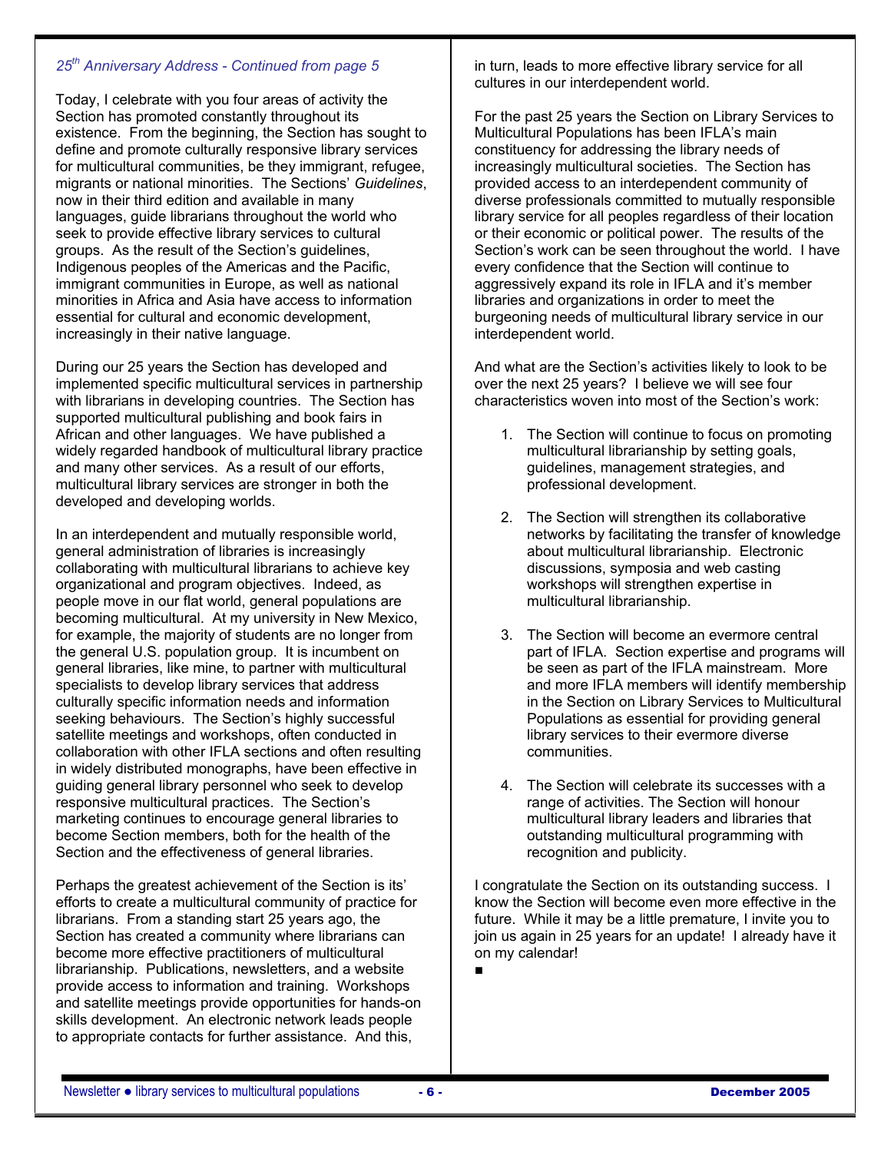### *25th Anniversary Address - Continued from page 5*

Today, I celebrate with you four areas of activity the Section has promoted constantly throughout its existence. From the beginning, the Section has sought to define and promote culturally responsive library services for multicultural communities, be they immigrant, refugee, migrants or national minorities. The Sections' *Guidelines*, now in their third edition and available in many languages, guide librarians throughout the world who seek to provide effective library services to cultural groups. As the result of the Section's guidelines, Indigenous peoples of the Americas and the Pacific, immigrant communities in Europe, as well as national minorities in Africa and Asia have access to information essential for cultural and economic development, increasingly in their native language.

During our 25 years the Section has developed and implemented specific multicultural services in partnership with librarians in developing countries. The Section has supported multicultural publishing and book fairs in African and other languages. We have published a widely regarded handbook of multicultural library practice and many other services. As a result of our efforts, multicultural library services are stronger in both the developed and developing worlds.

In an interdependent and mutually responsible world, general administration of libraries is increasingly collaborating with multicultural librarians to achieve key organizational and program objectives. Indeed, as people move in our flat world, general populations are becoming multicultural. At my university in New Mexico, for example, the majority of students are no longer from the general U.S. population group. It is incumbent on general libraries, like mine, to partner with multicultural specialists to develop library services that address culturally specific information needs and information seeking behaviours. The Section's highly successful satellite meetings and workshops, often conducted in collaboration with other IFLA sections and often resulting in widely distributed monographs, have been effective in guiding general library personnel who seek to develop responsive multicultural practices. The Section's marketing continues to encourage general libraries to become Section members, both for the health of the Section and the effectiveness of general libraries.

Perhaps the greatest achievement of the Section is its' efforts to create a multicultural community of practice for librarians. From a standing start 25 years ago, the Section has created a community where librarians can become more effective practitioners of multicultural librarianship. Publications, newsletters, and a website provide access to information and training. Workshops and satellite meetings provide opportunities for hands-on skills development. An electronic network leads people to appropriate contacts for further assistance. And this,

in turn, leads to more effective library service for all cultures in our interdependent world.

For the past 25 years the Section on Library Services to Multicultural Populations has been IFLA's main constituency for addressing the library needs of increasingly multicultural societies. The Section has provided access to an interdependent community of diverse professionals committed to mutually responsible library service for all peoples regardless of their location or their economic or political power. The results of the Section's work can be seen throughout the world. I have every confidence that the Section will continue to aggressively expand its role in IFLA and it's member libraries and organizations in order to meet the burgeoning needs of multicultural library service in our interdependent world.

And what are the Section's activities likely to look to be over the next 25 years? I believe we will see four characteristics woven into most of the Section's work:

- 1. The Section will continue to focus on promoting multicultural librarianship by setting goals, guidelines, management strategies, and professional development.
- 2. The Section will strengthen its collaborative networks by facilitating the transfer of knowledge about multicultural librarianship. Electronic discussions, symposia and web casting workshops will strengthen expertise in multicultural librarianship.
- 3. The Section will become an evermore central part of IFLA. Section expertise and programs will be seen as part of the IFLA mainstream. More and more IFLA members will identify membership in the Section on Library Services to Multicultural Populations as essential for providing general library services to their evermore diverse communities.
- 4. The Section will celebrate its successes with a range of activities. The Section will honour multicultural library leaders and libraries that outstanding multicultural programming with recognition and publicity.

I congratulate the Section on its outstanding success. I know the Section will become even more effective in the future. While it may be a little premature, I invite you to join us again in 25 years for an update! I already have it on my calendar!

■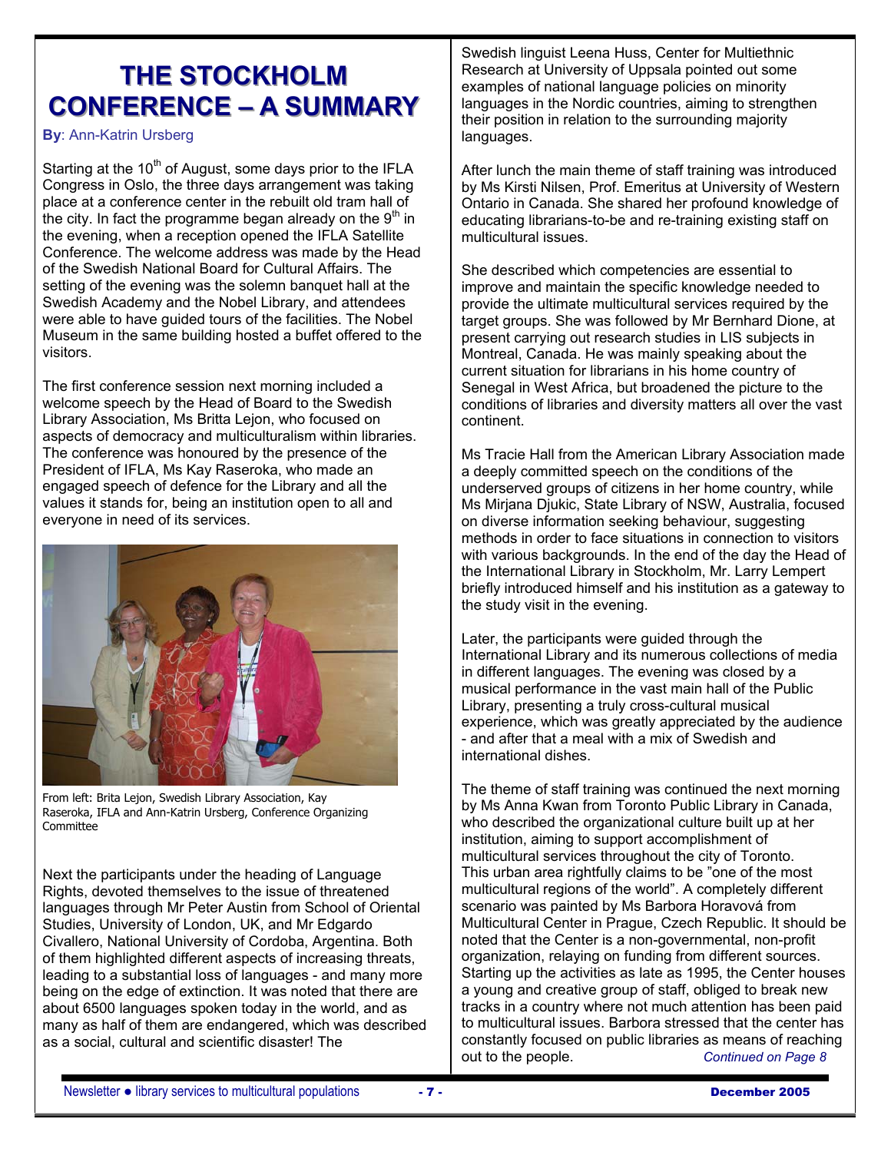# **THE STOCKHOLM CONFERENCE – A SUMMARY**

**By**: Ann-Katrin Ursberg

Starting at the  $10<sup>th</sup>$  of August, some days prior to the IFLA Congress in Oslo, the three days arrangement was taking place at a conference center in the rebuilt old tram hall of the city. In fact the programme began already on the  $9<sup>th</sup>$  in the evening, when a reception opened the IFLA Satellite Conference. The welcome address was made by the Head of the Swedish National Board for Cultural Affairs. The setting of the evening was the solemn banquet hall at the Swedish Academy and the Nobel Library, and attendees were able to have guided tours of the facilities. The Nobel Museum in the same building hosted a buffet offered to the visitors.

The first conference session next morning included a welcome speech by the Head of Board to the Swedish Library Association, Ms Britta Lejon, who focused on aspects of democracy and multiculturalism within libraries. The conference was honoured by the presence of the President of IFLA, Ms Kay Raseroka, who made an engaged speech of defence for the Library and all the values it stands for, being an institution open to all and everyone in need of its services.



From left: Brita Lejon, Swedish Library Association, Kay Raseroka, IFLA and Ann-Katrin Ursberg, Conference Organizing **Committee** 

Next the participants under the heading of Language Rights, devoted themselves to the issue of threatened languages through Mr Peter Austin from School of Oriental Studies, University of London, UK, and Mr Edgardo Civallero, National University of Cordoba, Argentina. Both of them highlighted different aspects of increasing threats, leading to a substantial loss of languages - and many more being on the edge of extinction. It was noted that there are about 6500 languages spoken today in the world, and as many as half of them are endangered, which was described as a social, cultural and scientific disaster! The

Swedish linguist Leena Huss, Center for Multiethnic Research at University of Uppsala pointed out some examples of national language policies on minority languages in the Nordic countries, aiming to strengthen their position in relation to the surrounding majority languages.

After lunch the main theme of staff training was introduced by Ms Kirsti Nilsen, Prof. Emeritus at University of Western Ontario in Canada. She shared her profound knowledge of educating librarians-to-be and re-training existing staff on multicultural issues.

She described which competencies are essential to improve and maintain the specific knowledge needed to provide the ultimate multicultural services required by the target groups. She was followed by Mr Bernhard Dione, at present carrying out research studies in LIS subjects in Montreal, Canada. He was mainly speaking about the current situation for librarians in his home country of Senegal in West Africa, but broadened the picture to the conditions of libraries and diversity matters all over the vast continent.

Ms Tracie Hall from the American Library Association made a deeply committed speech on the conditions of the underserved groups of citizens in her home country, while Ms Mirjana Djukic, State Library of NSW, Australia, focused on diverse information seeking behaviour, suggesting methods in order to face situations in connection to visitors with various backgrounds. In the end of the day the Head of the International Library in Stockholm, Mr. Larry Lempert briefly introduced himself and his institution as a gateway to the study visit in the evening.

Later, the participants were guided through the International Library and its numerous collections of media in different languages. The evening was closed by a musical performance in the vast main hall of the Public Library, presenting a truly cross-cultural musical experience, which was greatly appreciated by the audience - and after that a meal with a mix of Swedish and international dishes.

The theme of staff training was continued the next morning by Ms Anna Kwan from Toronto Public Library in Canada, who described the organizational culture built up at her institution, aiming to support accomplishment of multicultural services throughout the city of Toronto. This urban area rightfully claims to be "one of the most multicultural regions of the world". A completely different scenario was painted by Ms Barbora Horavová from Multicultural Center in Prague, Czech Republic. It should be noted that the Center is a non-governmental, non-profit organization, relaying on funding from different sources. Starting up the activities as late as 1995, the Center houses a young and creative group of staff, obliged to break new tracks in a country where not much attention has been paid to multicultural issues. Barbora stressed that the center has constantly focused on public libraries as means of reaching out to the people. *Continued on Page 8*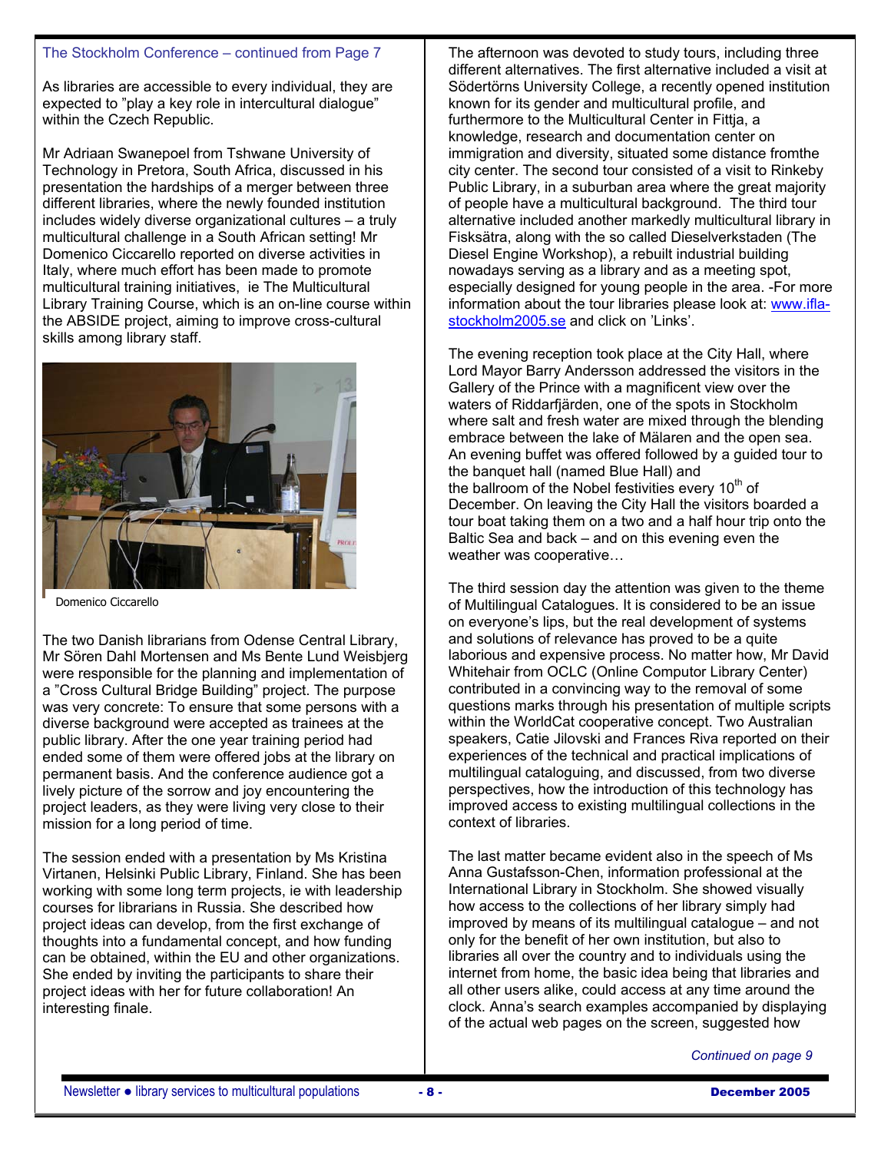### The Stockholm Conference – continued from Page 7

As libraries are accessible to every individual, they are expected to "play a key role in intercultural dialogue" within the Czech Republic.

Mr Adriaan Swanepoel from Tshwane University of Technology in Pretora, South Africa, discussed in his presentation the hardships of a merger between three different libraries, where the newly founded institution includes widely diverse organizational cultures – a truly multicultural challenge in a South African setting! Mr Domenico Ciccarello reported on diverse activities in Italy, where much effort has been made to promote multicultural training initiatives, ie The Multicultural Library Training Course, which is an on-line course within the ABSIDE project, aiming to improve cross-cultural skills among library staff.



Domenico Ciccarello

The two Danish librarians from Odense Central Library, Mr Sören Dahl Mortensen and Ms Bente Lund Weisbjerg were responsible for the planning and implementation of a "Cross Cultural Bridge Building" project. The purpose was very concrete: To ensure that some persons with a diverse background were accepted as trainees at the public library. After the one year training period had ended some of them were offered jobs at the library on permanent basis. And the conference audience got a lively picture of the sorrow and joy encountering the project leaders, as they were living very close to their mission for a long period of time.

The session ended with a presentation by Ms Kristina Virtanen, Helsinki Public Library, Finland. She has been working with some long term projects, ie with leadership courses for librarians in Russia. She described how project ideas can develop, from the first exchange of thoughts into a fundamental concept, and how funding can be obtained, within the EU and other organizations. She ended by inviting the participants to share their project ideas with her for future collaboration! An interesting finale.

The afternoon was devoted to study tours, including three different alternatives. The first alternative included a visit at Södertörns University College, a recently opened institution known for its gender and multicultural profile, and furthermore to the Multicultural Center in Fittja, a knowledge, research and documentation center on immigration and diversity, situated some distance fromthe city center. The second tour consisted of a visit to Rinkeby Public Library, in a suburban area where the great majority of people have a multicultural background. The third tour alternative included another markedly multicultural library in Fisksätra, along with the so called Dieselverkstaden (The Diesel Engine Workshop), a rebuilt industrial building nowadays serving as a library and as a meeting spot, especially designed for young people in the area. -For more information about the tour libraries please look at: www.iflastockholm2005.se and click on 'Links'.

The evening reception took place at the City Hall, where Lord Mayor Barry Andersson addressed the visitors in the Gallery of the Prince with a magnificent view over the waters of Riddarfjärden, one of the spots in Stockholm where salt and fresh water are mixed through the blending embrace between the lake of Mälaren and the open sea. An evening buffet was offered followed by a guided tour to the banquet hall (named Blue Hall) and the ballroom of the Nobel festivities every  $10<sup>th</sup>$  of December. On leaving the City Hall the visitors boarded a tour boat taking them on a two and a half hour trip onto the Baltic Sea and back – and on this evening even the weather was cooperative…

The third session day the attention was given to the theme of Multilingual Catalogues. It is considered to be an issue on everyone's lips, but the real development of systems and solutions of relevance has proved to be a quite laborious and expensive process. No matter how, Mr David Whitehair from OCLC (Online Computor Library Center) contributed in a convincing way to the removal of some questions marks through his presentation of multiple scripts within the WorldCat cooperative concept. Two Australian speakers, Catie Jilovski and Frances Riva reported on their experiences of the technical and practical implications of multilingual cataloguing, and discussed, from two diverse perspectives, how the introduction of this technology has improved access to existing multilingual collections in the context of libraries.

The last matter became evident also in the speech of Ms Anna Gustafsson-Chen, information professional at the International Library in Stockholm. She showed visually how access to the collections of her library simply had improved by means of its multilingual catalogue – and not only for the benefit of her own institution, but also to libraries all over the country and to individuals using the internet from home, the basic idea being that libraries and all other users alike, could access at any time around the clock. Anna's search examples accompanied by displaying of the actual web pages on the screen, suggested how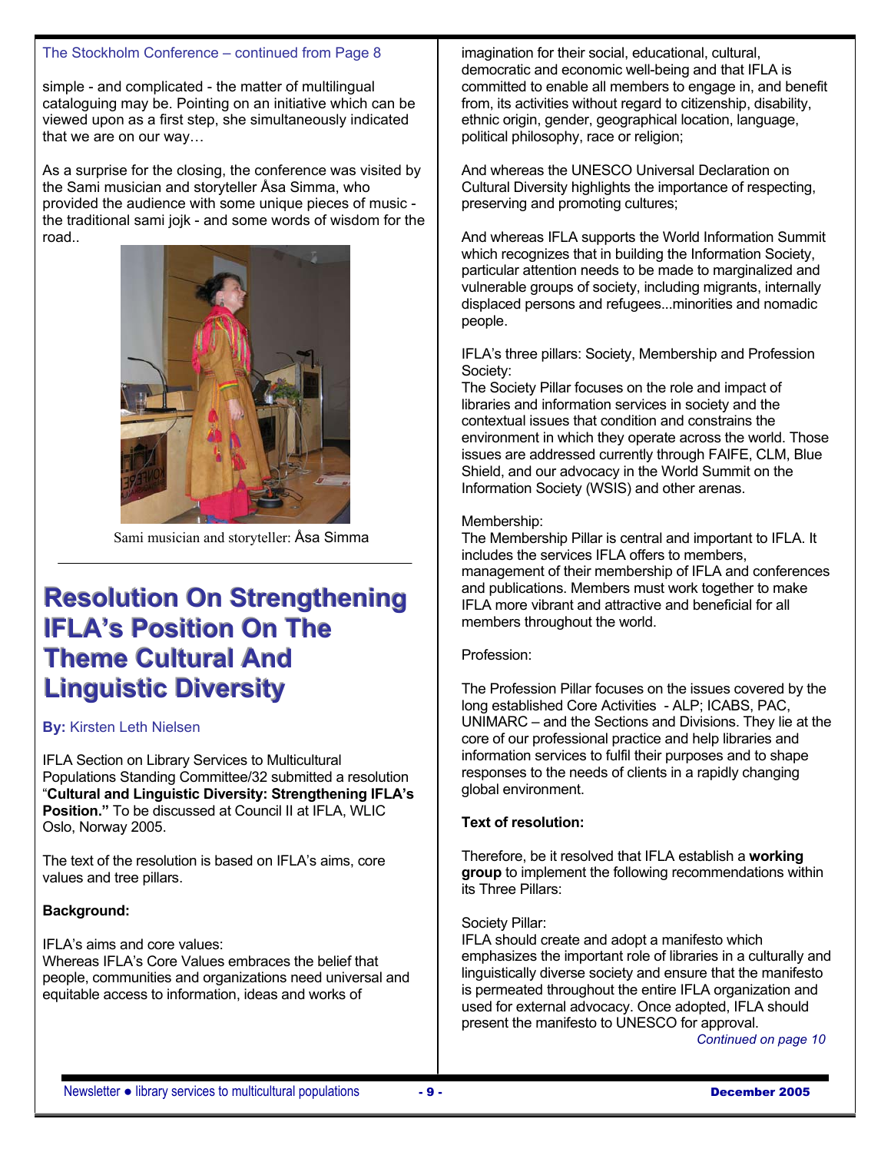### The Stockholm Conference – continued from Page 8

simple - and complicated - the matter of multilingual cataloguing may be. Pointing on an initiative which can be viewed upon as a first step, she simultaneously indicated that we are on our way…

As a surprise for the closing, the conference was visited by the Sami musician and storyteller Åsa Simma, who provided the audience with some unique pieces of music the traditional sami jojk - and some words of wisdom for the road..



Sami musician and storyteller: Åsa Simma

# **Resolution On Strengthening IFLA's Position On The Theme Cultural And Linguistic Diversity**

#### **By:** Kirsten Leth Nielsen

IFLA Section on Library Services to Multicultural Populations Standing Committee/32 submitted a resolution "**Cultural and Linguistic Diversity: Strengthening IFLA's Position."** To be discussed at Council II at IFLA, WLIC Oslo, Norway 2005.

The text of the resolution is based on IFLA's aims, core values and tree pillars.

### **Background:**

IFLA's aims and core values:

Whereas IFLA's Core Values embraces the belief that people, communities and organizations need universal and equitable access to information, ideas and works of

imagination for their social, educational, cultural, democratic and economic well-being and that IFLA is committed to enable all members to engage in, and benefit from, its activities without regard to citizenship, disability, ethnic origin, gender, geographical location, language, political philosophy, race or religion;

And whereas the UNESCO Universal Declaration on Cultural Diversity highlights the importance of respecting, preserving and promoting cultures;

And whereas IFLA supports the World Information Summit which recognizes that in building the Information Society, particular attention needs to be made to marginalized and vulnerable groups of society, including migrants, internally displaced persons and refugees...minorities and nomadic people.

IFLA's three pillars: Society, Membership and Profession Society:

The Society Pillar focuses on the role and impact of libraries and information services in society and the contextual issues that condition and constrains the environment in which they operate across the world. Those issues are addressed currently through FAIFE, CLM, Blue Shield, and our advocacy in the World Summit on the Information Society (WSIS) and other arenas.

#### Membership:

The Membership Pillar is central and important to IFLA. It includes the services IFLA offers to members, management of their membership of IFLA and conferences and publications. Members must work together to make IFLA more vibrant and attractive and beneficial for all members throughout the world.

#### Profession:

The Profession Pillar focuses on the issues covered by the long established Core Activities - ALP; ICABS, PAC, UNIMARC – and the Sections and Divisions. They lie at the core of our professional practice and help libraries and information services to fulfil their purposes and to shape responses to the needs of clients in a rapidly changing global environment.

#### **Text of resolution:**

Therefore, be it resolved that IFLA establish a **working group** to implement the following recommendations within its Three Pillars:

#### Society Pillar:

IFLA should create and adopt a manifesto which emphasizes the important role of libraries in a culturally and linguistically diverse society and ensure that the manifesto is permeated throughout the entire IFLA organization and used for external advocacy. Once adopted, IFLA should present the manifesto to UNESCO for approval.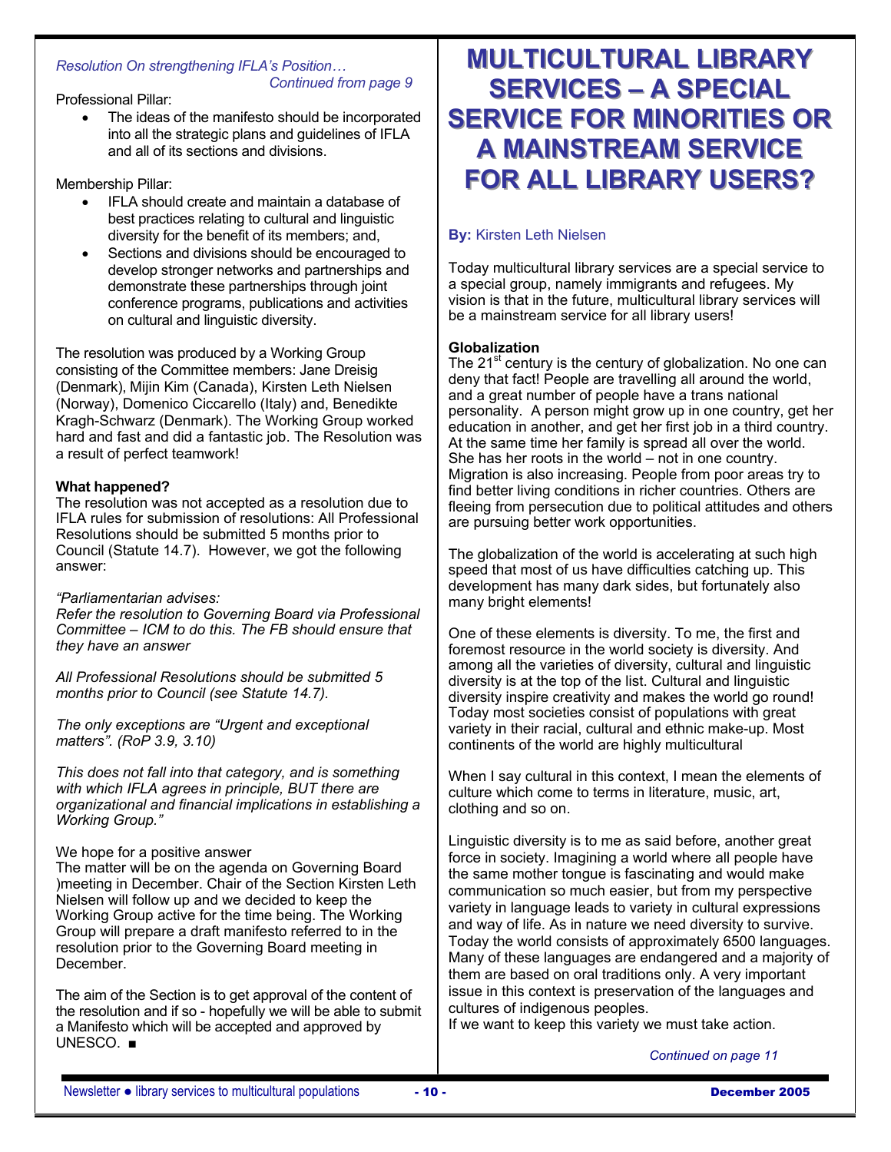#### *Resolution On strengthening IFLA's Position… Continued from page 9*

Professional Pillar:

The ideas of the manifesto should be incorporated into all the strategic plans and guidelines of IFLA and all of its sections and divisions.

Membership Pillar:

- IFLA should create and maintain a database of best practices relating to cultural and linguistic diversity for the benefit of its members; and,
- Sections and divisions should be encouraged to develop stronger networks and partnerships and demonstrate these partnerships through joint conference programs, publications and activities on cultural and linguistic diversity.

The resolution was produced by a Working Group consisting of the Committee members: Jane Dreisig (Denmark), Mijin Kim (Canada), Kirsten Leth Nielsen (Norway), Domenico Ciccarello (Italy) and, Benedikte Kragh-Schwarz (Denmark). The Working Group worked hard and fast and did a fantastic job. The Resolution was a result of perfect teamwork!

# **What happened?**

The resolution was not accepted as a resolution due to IFLA rules for submission of resolutions: All Professional Resolutions should be submitted 5 months prior to Council (Statute 14.7). However, we got the following answer:

### *"Parliamentarian advises:*

*Refer the resolution to Governing Board via Professional Committee – ICM to do this. The FB should ensure that they have an answer* 

*All Professional Resolutions should be submitted 5 months prior to Council (see Statute 14.7).* 

*The only exceptions are "Urgent and exceptional matters". (RoP 3.9, 3.10)* 

*This does not fall into that category, and is something with which IFLA agrees in principle, BUT there are organizational and financial implications in establishing a Working Group."* 

We hope for a positive answer

The matter will be on the agenda on Governing Board )meeting in December. Chair of the Section Kirsten Leth Nielsen will follow up and we decided to keep the Working Group active for the time being. The Working Group will prepare a draft manifesto referred to in the resolution prior to the Governing Board meeting in December.

The aim of the Section is to get approval of the content of the resolution and if so - hopefully we will be able to submit a Manifesto which will be accepted and approved by UNESCO. ■

# **MULTICULTURAL LIBRARY SERVICES – A SPECIAL SERVICE FOR MINORITIES OR A** MAINSTREAM SERVICE **FOR ALL LIBRARY USERS?**

# **By:** Kirsten Leth Nielsen

Today multicultural library services are a special service to a special group, namely immigrants and refugees. My vision is that in the future, multicultural library services will be a mainstream service for all library users!

# **Globalization**

The  $21^{st}$  century is the century of globalization. No one can deny that fact! People are travelling all around the world, and a great number of people have a trans national personality. A person might grow up in one country, get her education in another, and get her first job in a third country. At the same time her family is spread all over the world. She has her roots in the world – not in one country. Migration is also increasing. People from poor areas try to find better living conditions in richer countries. Others are fleeing from persecution due to political attitudes and others are pursuing better work opportunities.

The globalization of the world is accelerating at such high speed that most of us have difficulties catching up. This development has many dark sides, but fortunately also many bright elements!

One of these elements is diversity. To me, the first and foremost resource in the world society is diversity. And among all the varieties of diversity, cultural and linguistic diversity is at the top of the list. Cultural and linguistic diversity inspire creativity and makes the world go round! Today most societies consist of populations with great variety in their racial, cultural and ethnic make-up. Most continents of the world are highly multicultural

When I say cultural in this context, I mean the elements of culture which come to terms in literature, music, art, clothing and so on.

Linguistic diversity is to me as said before, another great force in society. Imagining a world where all people have the same mother tongue is fascinating and would make communication so much easier, but from my perspective variety in language leads to variety in cultural expressions and way of life. As in nature we need diversity to survive. Today the world consists of approximately 6500 languages. Many of these languages are endangered and a majority of them are based on oral traditions only. A very important issue in this context is preservation of the languages and cultures of indigenous peoples.

If we want to keep this variety we must take action.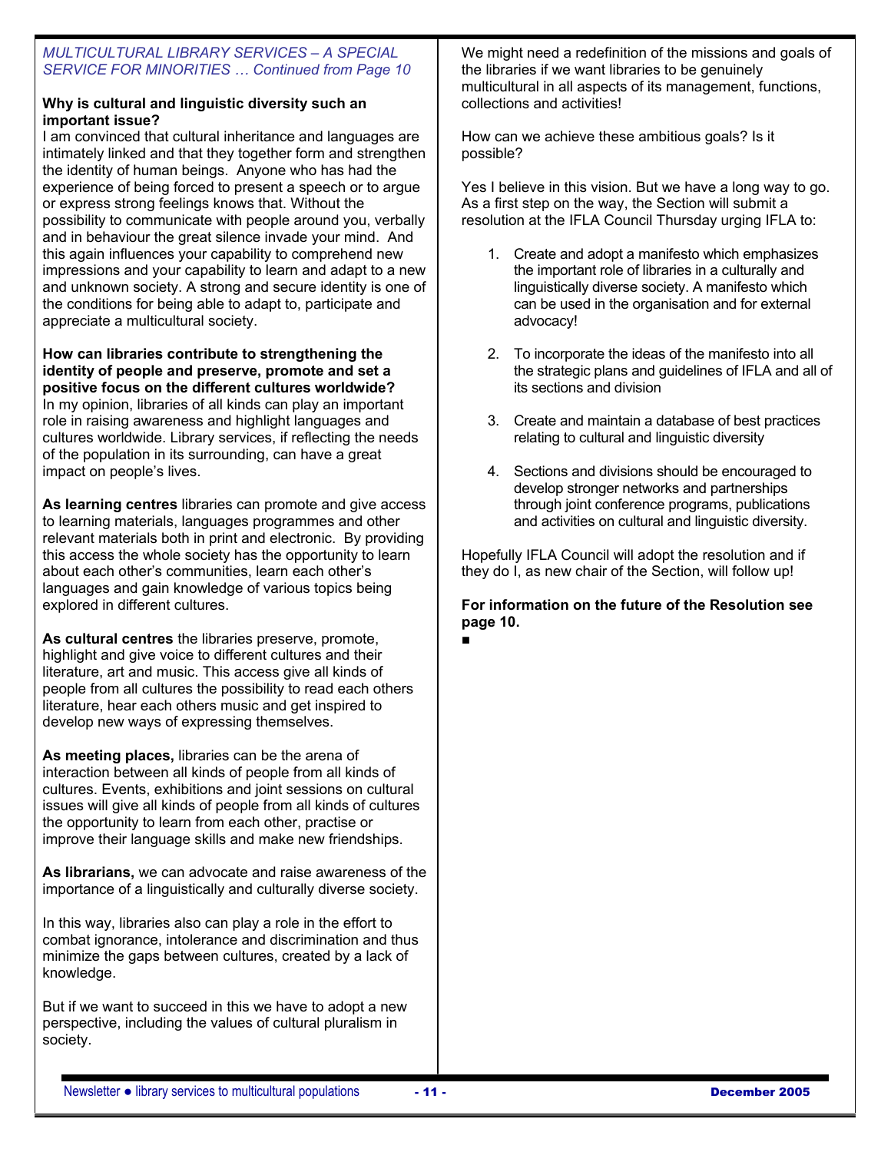## *MULTICULTURAL LIBRARY SERVICES – A SPECIAL SERVICE FOR MINORITIES … Continued from Page 10*

## **Why is cultural and linguistic diversity such an important issue?**

I am convinced that cultural inheritance and languages are intimately linked and that they together form and strengthen the identity of human beings. Anyone who has had the experience of being forced to present a speech or to argue or express strong feelings knows that. Without the possibility to communicate with people around you, verbally and in behaviour the great silence invade your mind. And this again influences your capability to comprehend new impressions and your capability to learn and adapt to a new and unknown society. A strong and secure identity is one of the conditions for being able to adapt to, participate and appreciate a multicultural society.

**How can libraries contribute to strengthening the identity of people and preserve, promote and set a positive focus on the different cultures worldwide?**  In my opinion, libraries of all kinds can play an important role in raising awareness and highlight languages and cultures worldwide. Library services, if reflecting the needs of the population in its surrounding, can have a great impact on people's lives.

**As learning centres** libraries can promote and give access to learning materials, languages programmes and other relevant materials both in print and electronic. By providing this access the whole society has the opportunity to learn about each other's communities, learn each other's languages and gain knowledge of various topics being explored in different cultures.

**As cultural centres** the libraries preserve, promote, highlight and give voice to different cultures and their literature, art and music. This access give all kinds of people from all cultures the possibility to read each others literature, hear each others music and get inspired to develop new ways of expressing themselves.

**As meeting places,** libraries can be the arena of interaction between all kinds of people from all kinds of cultures. Events, exhibitions and joint sessions on cultural issues will give all kinds of people from all kinds of cultures the opportunity to learn from each other, practise or improve their language skills and make new friendships.

**As librarians,** we can advocate and raise awareness of the importance of a linguistically and culturally diverse society.

In this way, libraries also can play a role in the effort to combat ignorance, intolerance and discrimination and thus minimize the gaps between cultures, created by a lack of knowledge.

But if we want to succeed in this we have to adopt a new perspective, including the values of cultural pluralism in society.

We might need a redefinition of the missions and goals of the libraries if we want libraries to be genuinely multicultural in all aspects of its management, functions, collections and activities!

How can we achieve these ambitious goals? Is it possible?

Yes I believe in this vision. But we have a long way to go. As a first step on the way, the Section will submit a resolution at the IFLA Council Thursday urging IFLA to:

- 1. Create and adopt a manifesto which emphasizes the important role of libraries in a culturally and linguistically diverse society. A manifesto which can be used in the organisation and for external advocacy!
- 2. To incorporate the ideas of the manifesto into all the strategic plans and guidelines of IFLA and all of its sections and division
- 3. Create and maintain a database of best practices relating to cultural and linguistic diversity
- 4. Sections and divisions should be encouraged to develop stronger networks and partnerships through joint conference programs, publications and activities on cultural and linguistic diversity.

Hopefully IFLA Council will adopt the resolution and if they do I, as new chair of the Section, will follow up!

**For information on the future of the Resolution see page 10.** ■

Newsletter ● library services to multicultural populations **- 11 - December 2005**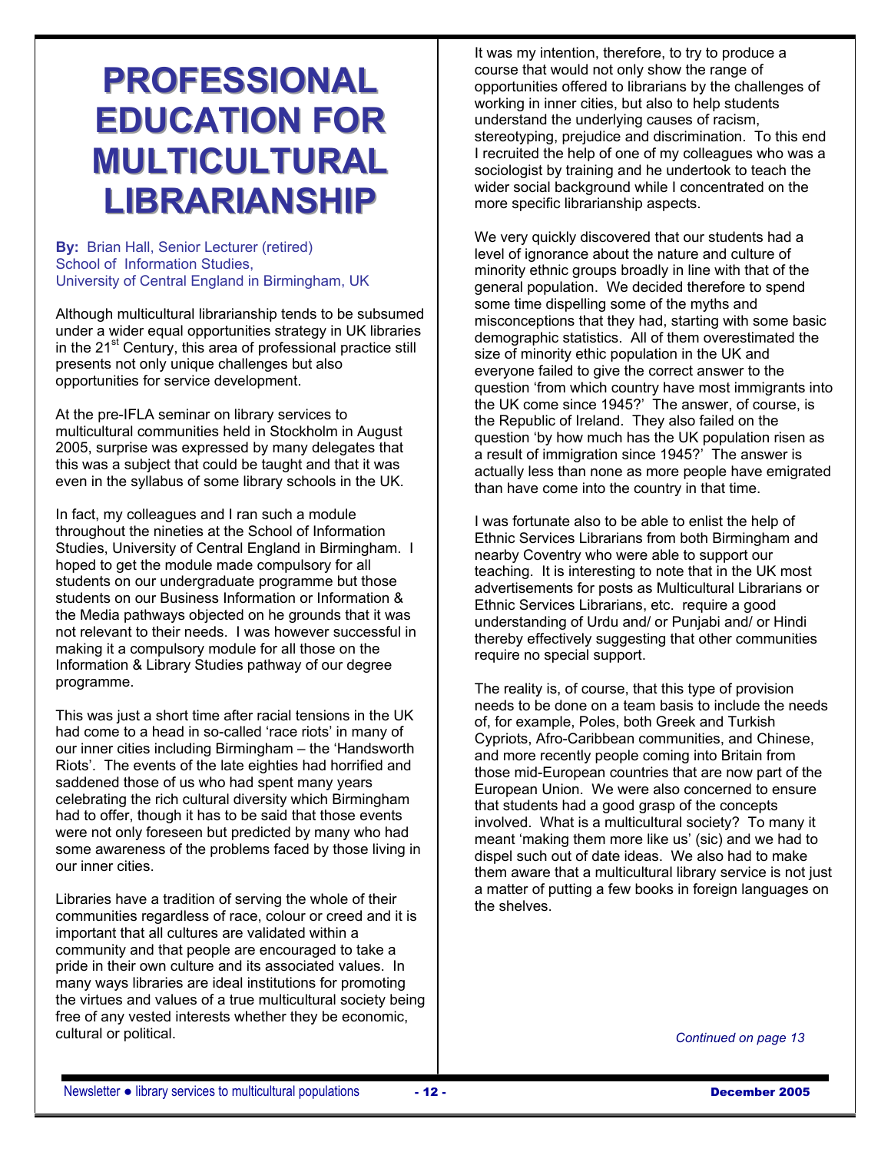# **PROFESSIONAL EDUCATION FOR MULTICULTURAL LIBRARIANSHIP**

**By:** Brian Hall, Senior Lecturer (retired) School of Information Studies, University of Central England in Birmingham, UK

Although multicultural librarianship tends to be subsumed under a wider equal opportunities strategy in UK libraries in the 21<sup>st</sup> Century, this area of professional practice still presents not only unique challenges but also opportunities for service development.

At the pre-IFLA seminar on library services to multicultural communities held in Stockholm in August 2005, surprise was expressed by many delegates that this was a subject that could be taught and that it was even in the syllabus of some library schools in the UK.

In fact, my colleagues and I ran such a module throughout the nineties at the School of Information Studies, University of Central England in Birmingham. I hoped to get the module made compulsory for all students on our undergraduate programme but those students on our Business Information or Information & the Media pathways objected on he grounds that it was not relevant to their needs. I was however successful in making it a compulsory module for all those on the Information & Library Studies pathway of our degree programme.

This was just a short time after racial tensions in the UK had come to a head in so-called 'race riots' in many of our inner cities including Birmingham – the 'Handsworth Riots'. The events of the late eighties had horrified and saddened those of us who had spent many years celebrating the rich cultural diversity which Birmingham had to offer, though it has to be said that those events were not only foreseen but predicted by many who had some awareness of the problems faced by those living in our inner cities.

Libraries have a tradition of serving the whole of their communities regardless of race, colour or creed and it is important that all cultures are validated within a community and that people are encouraged to take a pride in their own culture and its associated values. In many ways libraries are ideal institutions for promoting the virtues and values of a true multicultural society being free of any vested interests whether they be economic, cultural or political.

It was my intention, therefore, to try to produce a course that would not only show the range of opportunities offered to librarians by the challenges of working in inner cities, but also to help students understand the underlying causes of racism, stereotyping, prejudice and discrimination. To this end I recruited the help of one of my colleagues who was a sociologist by training and he undertook to teach the wider social background while I concentrated on the more specific librarianship aspects.

We very quickly discovered that our students had a level of ignorance about the nature and culture of minority ethnic groups broadly in line with that of the general population. We decided therefore to spend some time dispelling some of the myths and misconceptions that they had, starting with some basic demographic statistics. All of them overestimated the size of minority ethic population in the UK and everyone failed to give the correct answer to the question 'from which country have most immigrants into the UK come since 1945?' The answer, of course, is the Republic of Ireland. They also failed on the question 'by how much has the UK population risen as a result of immigration since 1945?' The answer is actually less than none as more people have emigrated than have come into the country in that time.

I was fortunate also to be able to enlist the help of Ethnic Services Librarians from both Birmingham and nearby Coventry who were able to support our teaching. It is interesting to note that in the UK most advertisements for posts as Multicultural Librarians or Ethnic Services Librarians, etc. require a good understanding of Urdu and/ or Punjabi and/ or Hindi thereby effectively suggesting that other communities require no special support.

The reality is, of course, that this type of provision needs to be done on a team basis to include the needs of, for example, Poles, both Greek and Turkish Cypriots, Afro-Caribbean communities, and Chinese, and more recently people coming into Britain from those mid-European countries that are now part of the European Union. We were also concerned to ensure that students had a good grasp of the concepts involved. What is a multicultural society? To many it meant 'making them more like us' (sic) and we had to dispel such out of date ideas. We also had to make them aware that a multicultural library service is not just a matter of putting a few books in foreign languages on the shelves.